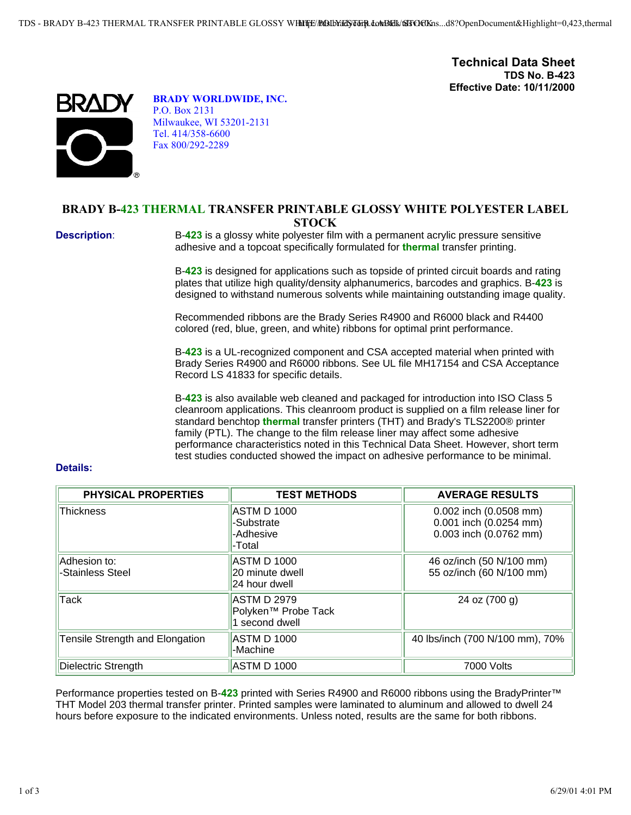**Technical Data Sheet TDS No. B-423 Effective Date: 10/11/2000**



**BRADY WORLDWIDE, INC.** P.O. Box 2131 Milwaukee, WI 53201-2131 Tel. 414/358-6600 Fax 800/292-2289

## **BRADY B-423 THERMAL TRANSFER PRINTABLE GLOSSY WHITE POLYESTER LABEL STOCK**

**Description:** B-423 is a glossy white polyester film with a permanent acrylic pressure sensitive adhesive and a topcoat specifically formulated for **thermal** transfer printing.

> B-**423** is designed for applications such as topside of printed circuit boards and rating plates that utilize high quality/density alphanumerics, barcodes and graphics. B-**423** is designed to withstand numerous solvents while maintaining outstanding image quality.

Recommended ribbons are the Brady Series R4900 and R6000 black and R4400 colored (red, blue, green, and white) ribbons for optimal print performance.

B-**423** is a UL-recognized component and CSA accepted material when printed with Brady Series R4900 and R6000 ribbons. See UL file MH17154 and CSA Acceptance Record LS 41833 for specific details.

B-**423** is also available web cleaned and packaged for introduction into ISO Class 5 cleanroom applications. This cleanroom product is supplied on a film release liner for standard benchtop **thermal** transfer printers (THT) and Brady's TLS2200® printer family (PTL). The change to the film release liner may affect some adhesive performance characteristics noted in this Technical Data Sheet. However, short term test studies conducted showed the impact on adhesive performance to be minimal.

## **Details:**

| <b>PHYSICAL PROPERTIES</b>       | <b>TEST METHODS</b>                                                     | <b>AVERAGE RESULTS</b>                                                     |
|----------------------------------|-------------------------------------------------------------------------|----------------------------------------------------------------------------|
| Thickness                        | ASTM D 1000<br>-Substrate<br>-Adhesive<br>-Total                        | 0.002 inch (0.0508 mm)<br>0.001 inch (0.0254 mm)<br>0.003 inch (0.0762 mm) |
| Adhesion to:<br>-Stainless Steel | ASTM D 1000<br>20 minute dwell<br>24 hour dwell                         | 46 oz/inch (50 N/100 mm)<br>55 oz/inch (60 N/100 mm)                       |
| <b>Tack</b>                      | <b>ASTM D 2979</b><br>Polyken <sup>™</sup> Probe Tack<br>1 second dwell | 24 oz (700 g)                                                              |
| Tensile Strength and Elongation  | <b>ASTM D 1000</b><br>-Machine                                          | 40 lbs/inch (700 N/100 mm), 70%                                            |
| Dielectric Strength              | ASTM D 1000                                                             | 7000 Volts                                                                 |

Performance properties tested on B-**423** printed with Series R4900 and R6000 ribbons using the BradyPrinter™ THT Model 203 thermal transfer printer. Printed samples were laminated to aluminum and allowed to dwell 24 hours before exposure to the indicated environments. Unless noted, results are the same for both ribbons.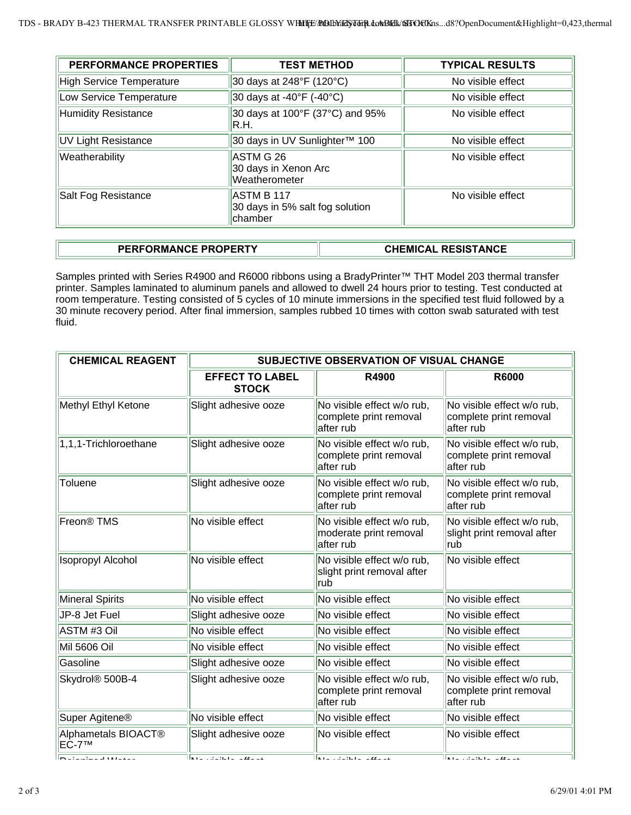| <b>PERFORMANCE PROPERTIES</b>   | <b>TEST METHOD</b>                                       | <b>TYPICAL RESULTS</b> |  |
|---------------------------------|----------------------------------------------------------|------------------------|--|
| <b>High Service Temperature</b> | 30 days at 248°F (120°C)                                 | No visible effect      |  |
| Low Service Temperature         | 30 days at -40°F (-40°C)                                 | No visible effect      |  |
| <b>Humidity Resistance</b>      | 30 days at 100°F (37°C) and 95%<br>IR.H.                 | No visible effect      |  |
| <b>UV Light Resistance</b>      | 30 days in UV Sunlighter™ 100                            | No visible effect      |  |
| Weatherability                  | ASTM G 26<br>30 days in Xenon Arc<br>Weatherometer       | No visible effect      |  |
| Salt Fog Resistance             | ASTM B 117<br>30 days in 5% salt fog solution<br>chamber | No visible effect      |  |

## **PERFORMANCE PROPERTY CHEMICAL RESISTANCE**

Samples printed with Series R4900 and R6000 ribbons using a BradyPrinter™ THT Model 203 thermal transfer printer. Samples laminated to aluminum panels and allowed to dwell 24 hours prior to testing. Test conducted at room temperature. Testing consisted of 5 cycles of 10 minute immersions in the specified test fluid followed by a 30 minute recovery period. After final immersion, samples rubbed 10 times with cotton swab saturated with test fluid.

| <b>CHEMICAL REAGENT</b>         | SUBJECTIVE OBSERVATION OF VISUAL CHANGE |                                                                   |                                                                   |  |  |
|---------------------------------|-----------------------------------------|-------------------------------------------------------------------|-------------------------------------------------------------------|--|--|
|                                 | <b>EFFECT TO LABEL</b><br><b>STOCK</b>  | R4900                                                             | <b>R6000</b>                                                      |  |  |
| Methyl Ethyl Ketone             | Slight adhesive ooze                    | No visible effect w/o rub,<br>complete print removal<br>after rub | No visible effect w/o rub,<br>complete print removal<br>after rub |  |  |
| 1,1,1-Trichloroethane           | Slight adhesive ooze                    | No visible effect w/o rub,<br>complete print removal<br>after rub | No visible effect w/o rub,<br>complete print removal<br>after rub |  |  |
| Toluene                         | Slight adhesive ooze                    | No visible effect w/o rub,<br>complete print removal<br>after rub | No visible effect w/o rub,<br>complete print removal<br>after rub |  |  |
| Freon <sup>®</sup> TMS          | No visible effect                       | No visible effect w/o rub,<br>moderate print removal<br>after rub | No visible effect w/o rub,<br>slight print removal after<br>rub   |  |  |
| <b>Isopropyl Alcohol</b>        | No visible effect                       | No visible effect w/o rub,<br>slight print removal after<br>rub   | No visible effect                                                 |  |  |
| <b>Mineral Spirits</b>          | No visible effect                       | No visible effect                                                 | No visible effect                                                 |  |  |
| JP-8 Jet Fuel                   | Slight adhesive ooze                    | No visible effect                                                 | No visible effect                                                 |  |  |
| ASTM #3 Oil                     | No visible effect                       | No visible effect                                                 | No visible effect                                                 |  |  |
| Mil 5606 Oil                    | No visible effect                       | No visible effect                                                 | No visible effect                                                 |  |  |
| Gasoline                        | Slight adhesive ooze                    | No visible effect                                                 | No visible effect                                                 |  |  |
| Skydrol® 500B-4                 | Slight adhesive ooze                    | No visible effect w/o rub,<br>complete print removal<br>after rub | No visible effect w/o rub,<br>complete print removal<br>after rub |  |  |
| Super Agitene <sup>®</sup>      | No visible effect                       | No visible effect                                                 | No visible effect                                                 |  |  |
| Alphametals BIOACT®<br>$EC-7TM$ | Slight adhesive ooze                    | No visible effect                                                 | No visible effect                                                 |  |  |
| <b>RUSSIAN LIMITATION</b>       | <b>INTERNATIONAL CONTRACTOR</b>         | <b>INTERNATIONAL PROPERTY</b>                                     | <b>INTERNATIONAL CONTRACTOR</b>                                   |  |  |